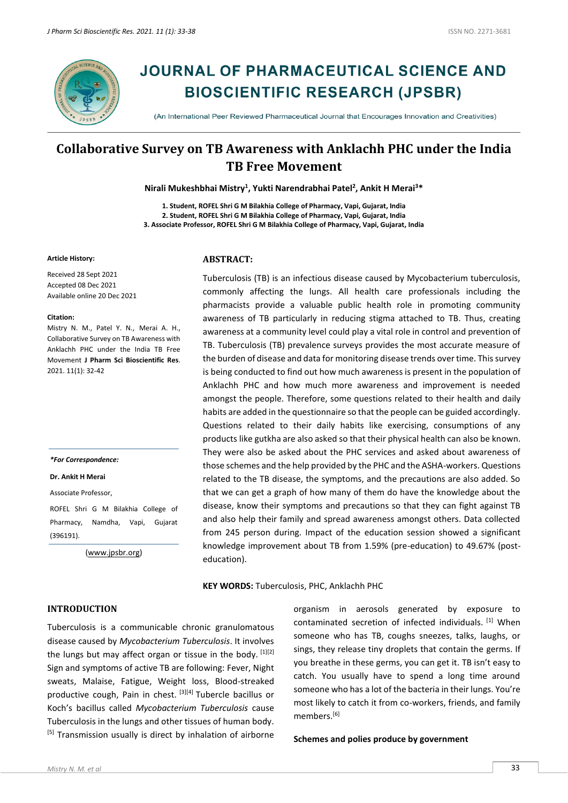

# **JOURNAL OF PHARMACEUTICAL SCIENCE AND BIOSCIENTIFIC RESEARCH (JPSBR)**

(An International Peer Reviewed Pharmaceutical Journal that Encourages Innovation and Creativities)

# **Collaborative Survey on TB Awareness with Anklachh PHC under the India TB Free Movement**

**Nirali Mukeshbhai Mistry<sup>1</sup> , Yukti Narendrabhai Patel<sup>2</sup> , Ankit H Merai<sup>3</sup>\***

**1. Student, ROFEL Shri G M Bilakhia College of Pharmacy, Vapi, Gujarat, India 2. Student, ROFEL Shri G M Bilakhia College of Pharmacy, Vapi, Gujarat, India 3. Associate Professor, ROFEL Shri G M Bilakhia College of Pharmacy, Vapi, Gujarat, India**

#### **Article History:**

Received 28 Sept 2021 Accepted 08 Dec 2021 Available online 20 Dec 2021

#### **Citation:**

Mistry N. M., Patel Y. N., Merai A. H., Collaborative Survey on TB Awareness with Anklachh PHC under the India TB Free Movement **J Pharm Sci Bioscientific Res**. 2021. 11(1): 32-42

#### *\*For Correspondence:*

#### **Dr. Ankit H Merai**

Associate Professor,

ROFEL Shri G M Bilakhia College of Pharmacy, Namdha, Vapi, Gujarat (396191).

[\(www.jpsbr.org\)](http://www.jpsbr.org/)

# **INTRODUCTION**

Tuberculosis is a communicable chronic granulomatous disease caused by *Mycobacterium Tuberculosis*. It involves the lungs but may affect organ or tissue in the body.  $[1][2]$ Sign and symptoms of active TB are following: Fever, Night sweats, Malaise, Fatigue, Weight loss, Blood-streaked productive cough, Pain in chest. [3][4] Tubercle bacillus or Koch's bacillus called *Mycobacterium Tuberculosis* cause Tuberculosis in the lungs and other tissues of human body. [5] Transmission usually is direct by inhalation of airborne

# **ABSTRACT:**

Tuberculosis (TB) is an infectious disease caused by Mycobacterium tuberculosis, commonly affecting the lungs. All health care professionals including the pharmacists provide a valuable public health role in promoting community awareness of TB particularly in reducing stigma attached to TB. Thus, creating awareness at a community level could play a vital role in control and prevention of TB. Tuberculosis (TB) prevalence surveys provides the most accurate measure of the burden of disease and data for monitoring disease trends over time. This survey is being conducted to find out how much awareness is present in the population of Anklachh PHC and how much more awareness and improvement is needed amongst the people. Therefore, some questions related to their health and daily habits are added in the questionnaire so that the people can be guided accordingly. Questions related to their daily habits like exercising, consumptions of any products like gutkha are also asked so that their physical health can also be known. They were also be asked about the PHC services and asked about awareness of those schemes and the help provided by the PHC and the ASHA-workers. Questions related to the TB disease, the symptoms, and the precautions are also added. So that we can get a graph of how many of them do have the knowledge about the disease, know their symptoms and precautions so that they can fight against TB and also help their family and spread awareness amongst others. Data collected from 245 person during. Impact of the education session showed a significant knowledge improvement about TB from 1.59% (pre-education) to 49.67% (posteducation).

#### **KEY WORDS:** Tuberculosis, PHC, Anklachh PHC

organism in aerosols generated by exposure to contaminated secretion of infected individuals. [1] When someone who has TB, coughs sneezes, talks, laughs, or sings, they release tiny droplets that contain the germs. If you breathe in these germs, you can get it. TB isn't easy to catch. You usually have to spend a long time around someone who has a lot of the bacteria in their lungs. You're most likely to catch it from co-workers, friends, and family members.[6]

#### **Schemes and polies produce by government**

#### *Mistry N. M. et al* 33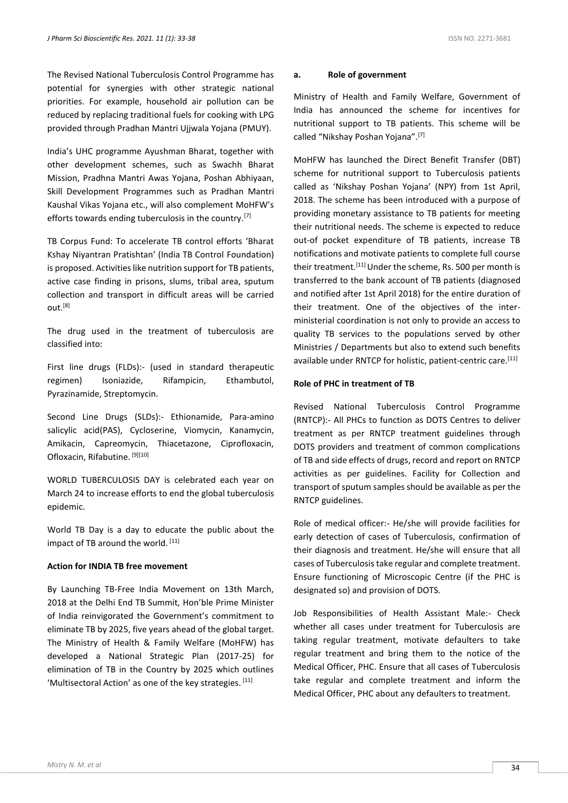The Revised National Tuberculosis Control Programme has potential for synergies with other strategic national priorities. For example, household air pollution can be reduced by replacing traditional fuels for cooking with LPG provided through Pradhan Mantri Ujjwala Yojana (PMUY).

India's UHC programme Ayushman Bharat, together with other development schemes, such as Swachh Bharat Mission, Pradhna Mantri Awas Yojana, Poshan Abhiyaan, Skill Development Programmes such as Pradhan Mantri Kaushal Vikas Yojana etc., will also complement MoHFW's efforts towards ending tuberculosis in the country.<sup>[7]</sup>

TB Corpus Fund: To accelerate TB control efforts 'Bharat Kshay Niyantran Pratishtan' (India TB Control Foundation) is proposed. Activities like nutrition support for TB patients, active case finding in prisons, slums, tribal area, sputum collection and transport in difficult areas will be carried out.[8]

The drug used in the treatment of tuberculosis are classified into:

First line drugs (FLDs):- (used in standard therapeutic regimen) Isoniazide, Rifampicin, Ethambutol, Pyrazinamide, Streptomycin.

Second Line Drugs (SLDs):- Ethionamide, Para-amino salicylic acid(PAS), Cycloserine, Viomycin, Kanamycin, Amikacin, Capreomycin, Thiacetazone, Ciprofloxacin, Ofloxacin, Rifabutine. [9][10]

WORLD TUBERCULOSIS DAY is celebrated each year on March 24 to increase efforts to end the global tuberculosis epidemic.

World TB Day is a day to educate the public about the impact of TB around the world. [11]

#### **Action for INDIA TB free movement**

By Launching TB-Free India Movement on 13th March, 2018 at the Delhi End TB Summit, Hon'ble Prime Minister of India reinvigorated the Government's commitment to eliminate TB by 2025, five years ahead of the global target. The Ministry of Health & Family Welfare (MoHFW) has developed a National Strategic Plan (2017-25) for elimination of TB in the Country by 2025 which outlines 'Multisectoral Action' as one of the key strategies. [11]

#### **a. Role of government**

Ministry of Health and Family Welfare, Government of India has announced the scheme for incentives for nutritional support to TB patients. This scheme will be called "Nikshay Poshan Yojana".[7]

MoHFW has launched the Direct Benefit Transfer (DBT) scheme for nutritional support to Tuberculosis patients called as 'Nikshay Poshan Yojana' (NPY) from 1st April, 2018. The scheme has been introduced with a purpose of providing monetary assistance to TB patients for meeting their nutritional needs. The scheme is expected to reduce out-of pocket expenditure of TB patients, increase TB notifications and motivate patients to complete full course their treatment.<sup>[11]</sup> Under the scheme, Rs. 500 per month is transferred to the bank account of TB patients (diagnosed and notified after 1st April 2018) for the entire duration of their treatment. One of the objectives of the interministerial coordination is not only to provide an access to quality TB services to the populations served by other Ministries / Departments but also to extend such benefits available under RNTCP for holistic, patient-centric care.<sup>[11]</sup>

#### **Role of PHC in treatment of TB**

Revised National Tuberculosis Control Programme (RNTCP):- All PHCs to function as DOTS Centres to deliver treatment as per RNTCP treatment guidelines through DOTS providers and treatment of common complications of TB and side effects of drugs, record and report on RNTCP activities as per guidelines. Facility for Collection and transport of sputum samples should be available as per the RNTCP guidelines.

Role of medical officer:- He/she will provide facilities for early detection of cases of Tuberculosis, confirmation of their diagnosis and treatment. He/she will ensure that all cases of Tuberculosis take regular and complete treatment. Ensure functioning of Microscopic Centre (if the PHC is designated so) and provision of DOTS.

Job Responsibilities of Health Assistant Male:- Check whether all cases under treatment for Tuberculosis are taking regular treatment, motivate defaulters to take regular treatment and bring them to the notice of the Medical Officer, PHC. Ensure that all cases of Tuberculosis take regular and complete treatment and inform the Medical Officer, PHC about any defaulters to treatment.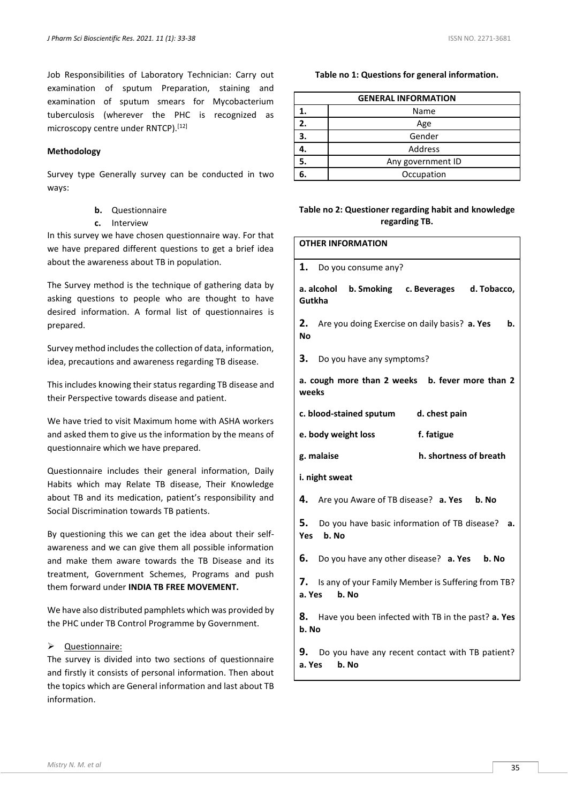Job Responsibilities of Laboratory Technician: Carry out examination of sputum Preparation, staining and examination of sputum smears for Mycobacterium tuberculosis (wherever the PHC is recognized as microscopy centre under RNTCP).<sup>[12]</sup>

### **Methodology**

Survey type Generally survey can be conducted in two ways:

- **b.** Questionnaire
- **c.** Interview

In this survey we have chosen questionnaire way. For that we have prepared different questions to get a brief idea about the awareness about TB in population.

The Survey method is the technique of gathering data by asking questions to people who are thought to have desired information. A formal list of questionnaires is prepared.

Survey method includes the collection of data, information, idea, precautions and awareness regarding TB disease.

This includes knowing their status regarding TB disease and their Perspective towards disease and patient.

We have tried to visit Maximum home with ASHA workers and asked them to give us the information by the means of questionnaire which we have prepared.

Questionnaire includes their general information, Daily Habits which may Relate TB disease, Their Knowledge about TB and its medication, patient's responsibility and Social Discrimination towards TB patients.

By questioning this we can get the idea about their selfawareness and we can give them all possible information and make them aware towards the TB Disease and its treatment, Government Schemes, Programs and push them forward under **INDIA TB FREE MOVEMENT.**

We have also distributed pamphlets which was provided by the PHC under TB Control Programme by Government.

### ➢ Questionnaire:

The survey is divided into two sections of questionnaire and firstly it consists of personal information. Then about the topics which are General information and last about TB information.

**Table no 1: Questions for general information.**

| <b>GENERAL INFORMATION</b> |                   |  |  |
|----------------------------|-------------------|--|--|
|                            | Name              |  |  |
| 2.                         | Age               |  |  |
| 3.                         | Gender            |  |  |
|                            | Address           |  |  |
| 5.                         | Any government ID |  |  |
|                            | Occupation        |  |  |

# **Table no 2: Questioner regarding habit and knowledge regarding TB.**

| <b>OTHER INFORMATION</b>                                                 |  |  |  |  |
|--------------------------------------------------------------------------|--|--|--|--|
| 1.<br>Do you consume any?                                                |  |  |  |  |
| a. alcohol<br>b. Smoking c. Beverages d. Tobacco,<br>Gutkha              |  |  |  |  |
| 2.<br>Are you doing Exercise on daily basis? a. Yes<br>b.<br>Nο          |  |  |  |  |
| 3.<br>Do you have any symptoms?                                          |  |  |  |  |
| a. cough more than 2 weeks b. fever more than 2<br>weeks                 |  |  |  |  |
| c. blood-stained sputum<br>d. chest pain                                 |  |  |  |  |
| e. body weight loss<br>f. fatigue                                        |  |  |  |  |
| h. shortness of breath<br>g. malaise                                     |  |  |  |  |
| i. night sweat                                                           |  |  |  |  |
| 4.<br>Are you Aware of TB disease? <b>a. Yes b. No</b>                   |  |  |  |  |
| 5.<br>Do you have basic information of TB disease? a.<br>Yes b. No       |  |  |  |  |
| 6.<br>Do you have any other disease? a. Yes b. No                        |  |  |  |  |
| 7. Is any of your Family Member is Suffering from TB?<br>a. Yes<br>b. No |  |  |  |  |
| 8. Have you been infected with TB in the past? a. Yes<br>b. No           |  |  |  |  |
| 9.<br>Do you have any recent contact with TB patient?<br>a. Yes<br>b. No |  |  |  |  |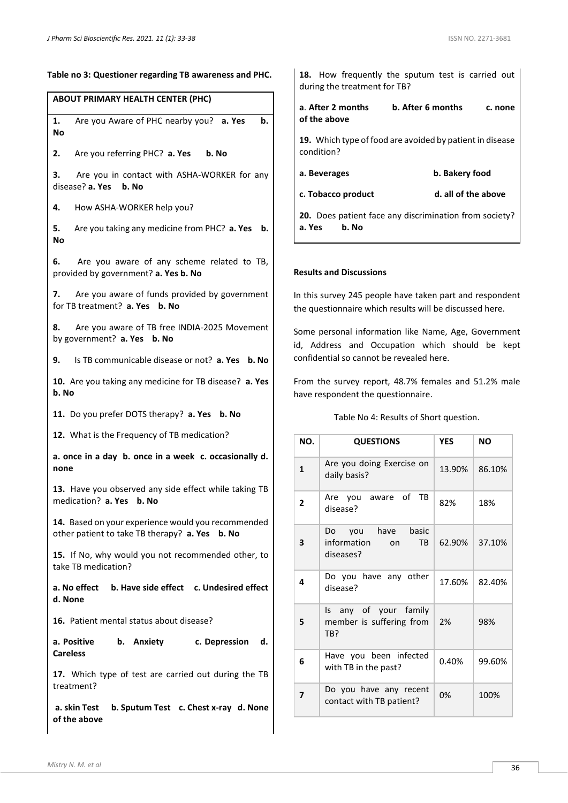| able no 3: Questioner regarding TB awareness and PHC.                                                |
|------------------------------------------------------------------------------------------------------|
| ABOUT PRIMARY HEALTH CENTER (PHC)                                                                    |
| 1.<br>Are you Aware of PHC nearby you? a. Yes<br>b.<br>No                                            |
| 2. Are you referring PHC? a. Yes b. No                                                               |
| З.<br>Are you in contact with ASHA-WORKER for any<br>disease? a. Yes b. No                           |
| 4.<br>How ASHA-WORKER help you?                                                                      |
| 5. Are you taking any medicine from PHC? a. Yes b.<br>No                                             |
| 6. Are you aware of any scheme related to TB,<br>provided by government? a. Yes b. No                |
| 7. Are you aware of funds provided by government<br>for TB treatment? a. Yes b. No                   |
| 8.<br>Are you aware of TB free INDIA-2025 Movement<br>by government? a. Yes b. No                    |
| 9.<br>Is TB communicable disease or not? a. Yes b. No                                                |
| 10. Are you taking any medicine for TB disease? a. Yes<br>b. No                                      |
| 11. Do you prefer DOTS therapy? a. Yes b. No                                                         |
| 12. What is the Frequency of TB medication?                                                          |
| a. once in a day b. once in a week c. occasionally d.<br>none                                        |
| 13. Have you observed any side effect while taking TB<br>medication? a. Yes b. No                    |
| 14. Based on your experience would you recommended<br>other patient to take TB therapy? a. Yes b. No |
| 15. If No, why would you not recommended other, to<br>take TB medication?                            |
| a. No effect b. Have side effect c. Undesired effect<br>d. None                                      |
| 16. Patient mental status about disease?                                                             |
| a. Positive<br>c. Depression<br>b. Anxiety<br>d.<br><b>Careless</b>                                  |
| 17. Which type of test are carried out during the TB<br>treatment?                                   |
| b. Sputum Test c. Chest x-ray d. None<br>a. skin Test<br>of the above                                |

|                              |  | <b>18.</b> How frequently the sputum test is carried out |  |  |  |  |  |  |
|------------------------------|--|----------------------------------------------------------|--|--|--|--|--|--|
| during the treatment for TB? |  |                                                          |  |  |  |  |  |  |

**a**. **After 2 months b. After 6 months c. none of the above** 

**19.** Which type of food are avoided by patient in disease condition?

| a. Beverages | b. Bakery food |
|--------------|----------------|
|--------------|----------------|

**c. Tobacco product d. all of the above**

**20.** Does patient face any discrimination from society? **a. Yes b. No**

#### **Results and Discussions**

In this survey 245 people have taken part and respondent the questionnaire which results will be discussed here.

Some personal information like Name, Age, Government id, Address and Occupation which should be kept confidential so cannot be revealed here.

From the survey report, 48.7% females and 51.2% male have respondent the questionnaire.

#### Table No 4: Results of Short question.

| NO.          | <b>QUESTIONS</b>                                                    | <b>YES</b> | <b>NO</b> |  |
|--------------|---------------------------------------------------------------------|------------|-----------|--|
| $\mathbf{1}$ | Are you doing Exercise on<br>daily basis?                           | 13.90%     | 86.10%    |  |
| $\mathbf{2}$ | Are you aware of TB<br>disease?                                     | 82%        | 18%       |  |
| 3            | have<br>basic<br>Do you<br>information on<br><b>TB</b><br>diseases? | 62.90%     | 37.10%    |  |
| 4            | Do you have any other<br>disease?                                   | 17.60%     | 82.40%    |  |
| 5            | Is any of your family<br>member is suffering from<br>TB?            | 2%         | 98%       |  |
| 6            | Have you been infected<br>with TB in the past?                      | 0.40%      | 99.60%    |  |
| 7            | Do you have any recent<br>contact with TB patient?                  | 0%         | 100%      |  |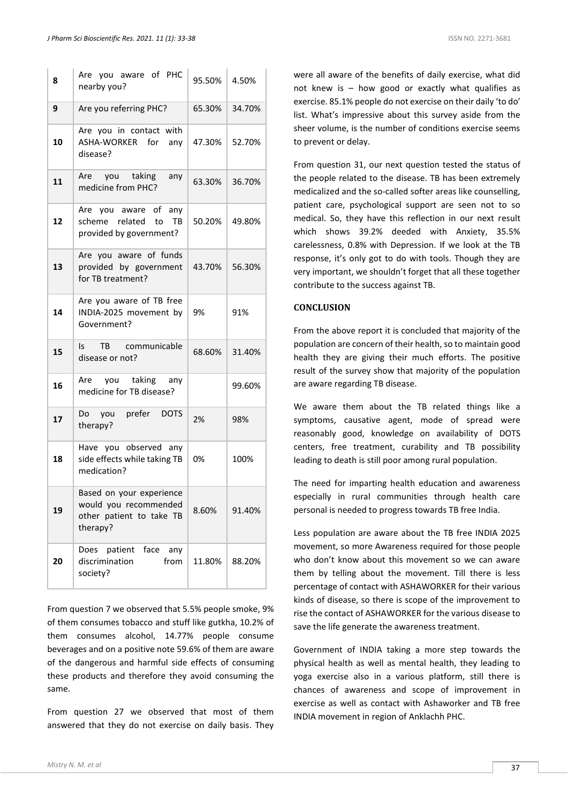| 8  | Are you aware of PHC<br>nearby you?                                                       | 95.50% | 4.50%  |
|----|-------------------------------------------------------------------------------------------|--------|--------|
| 9  | Are you referring PHC?                                                                    | 65.30% | 34.70% |
| 10 | Are you in contact with<br>ASHA-WORKER for any<br>disease?                                | 47.30% | 52.70% |
| 11 | taking<br>Are<br>you<br>any<br>medicine from PHC?                                         | 63.30% | 36.70% |
| 12 | Are you aware of any<br>scheme related to<br>TB<br>provided by government?                | 50.20% | 49.80% |
| 13 | Are you aware of funds<br>provided by government<br>for TB treatment?                     | 43.70% | 56.30% |
| 14 | Are you aware of TB free<br>INDIA-2025 movement by<br>Government?                         | 9%     | 91%    |
| 15 | TB communicable<br>ls.<br>disease or not?                                                 | 68.60% | 31.40% |
| 16 | you taking any<br>Are<br>medicine for TB disease?                                         |        | 99.60% |
| 17 | prefer<br><b>DOTS</b><br>Do<br>you<br>therapy?                                            | 2%     | 98%    |
| 18 | Have you observed any<br>side effects while taking TB<br>medication?                      | 0%     | 100%   |
| 19 | Based on your experience<br>would you recommended<br>other patient to take TB<br>therapy? | 8.60%  | 91.40% |
| 20 | face<br>patient<br>Does<br>any<br>discrimination<br>from<br>society?                      | 11.80% | 88.20% |

From question 7 we observed that 5.5% people smoke, 9% of them consumes tobacco and stuff like gutkha, 10.2% of them consumes alcohol, 14.77% people consume beverages and on a positive note 59.6% of them are aware of the dangerous and harmful side effects of consuming these products and therefore they avoid consuming the same.

From question 27 we observed that most of them answered that they do not exercise on daily basis. They

were all aware of the benefits of daily exercise, what did not knew is – how good or exactly what qualifies as exercise. 85.1% people do not exercise on their daily 'to do' list. What's impressive about this survey aside from the sheer volume, is the number of conditions exercise seems to prevent or delay.

From question 31, our next question tested the status of the people related to the disease. TB has been extremely medicalized and the so-called softer areas like counselling, patient care, psychological support are seen not to so medical. So, they have this reflection in our next result which shows 39.2% deeded with Anxiety, 35.5% carelessness, 0.8% with Depression. If we look at the TB response, it's only got to do with tools. Though they are very important, we shouldn't forget that all these together contribute to the success against TB.

# **CONCLUSION**

From the above report it is concluded that majority of the population are concern of their health, so to maintain good health they are giving their much efforts. The positive result of the survey show that majority of the population are aware regarding TB disease.

We aware them about the TB related things like a symptoms, causative agent, mode of spread were reasonably good, knowledge on availability of DOTS centers, free treatment, curability and TB possibility leading to death is still poor among rural population.

The need for imparting health education and awareness especially in rural communities through health care personal is needed to progress towards TB free India.

Less population are aware about the TB free INDIA 2025 movement, so more Awareness required for those people who don't know about this movement so we can aware them by telling about the movement. Till there is less percentage of contact with ASHAWORKER for their various kinds of disease, so there is scope of the improvement to rise the contact of ASHAWORKER for the various disease to save the life generate the awareness treatment.

Government of INDIA taking a more step towards the physical health as well as mental health, they leading to yoga exercise also in a various platform, still there is chances of awareness and scope of improvement in exercise as well as contact with Ashaworker and TB free INDIA movement in region of Anklachh PHC.